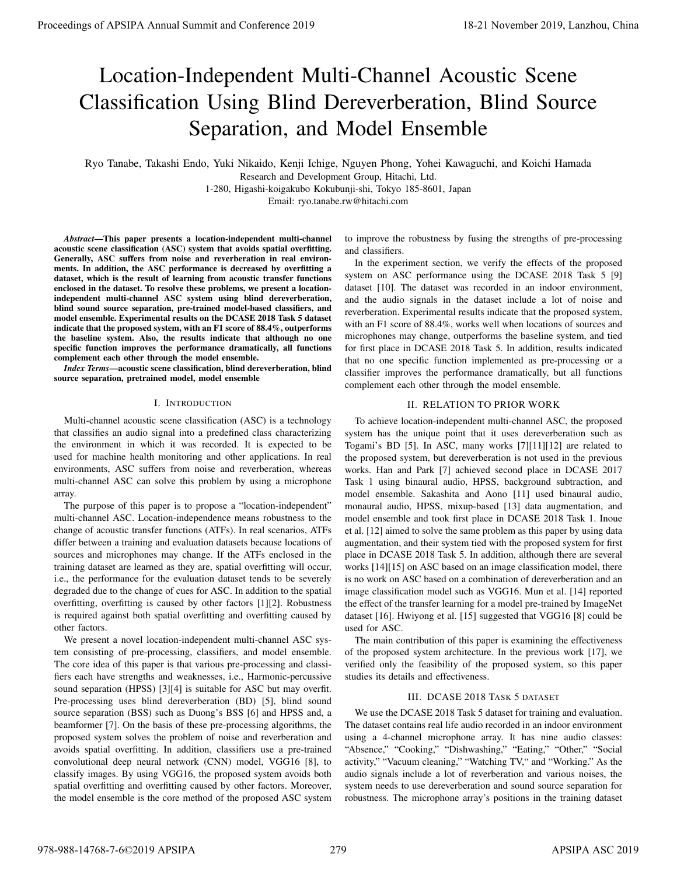# Location-Independent Multi-Channel Acoustic Scene Classification Using Blind Dereverberation, Blind Source Separation, and Model Ensemble

Ryo Tanabe, Takashi Endo, Yuki Nikaido, Kenji Ichige, Nguyen Phong, Yohei Kawaguchi, and Koichi Hamada Research and Development Group, Hitachi, Ltd.

1-280, Higashi-koigakubo Kokubunji-shi, Tokyo 185-8601, Japan

Email: ryo.tanabe.rw@hitachi.com

*Abstract*—This paper presents a location-independent multi-channel acoustic scene classification (ASC) system that avoids spatial overfitting. Generally, ASC suffers from noise and reverberation in real environments. In addition, the ASC performance is decreased by overfitting a dataset, which is the result of learning from acoustic transfer functions enclosed in the dataset. To resolve these problems, we present a locationindependent multi-channel ASC system using blind dereverberation, blind sound source separation, pre-trained model-based classifiers, and model ensemble. Experimental results on the DCASE 2018 Task 5 dataset indicate that the proposed system, with an F1 score of 88.4%, outperforms the baseline system. Also, the results indicate that although no one specific function improves the performance dramatically, all functions complement each other through the model ensemble.

*Index Terms*—acoustic scene classification, blind dereverberation, blind source separation, pretrained model, model ensemble

# I. INTRODUCTION

Multi-channel acoustic scene classification (ASC) is a technology that classifies an audio signal into a predefined class characterizing the environment in which it was recorded. It is expected to be used for machine health monitoring and other applications. In real environments, ASC suffers from noise and reverberation, whereas multi-channel ASC can solve this problem by using a microphone array.

The purpose of this paper is to propose a "location-independent" multi-channel ASC. Location-independence means robustness to the change of acoustic transfer functions (ATFs). In real scenarios, ATFs differ between a training and evaluation datasets because locations of sources and microphones may change. If the ATFs enclosed in the training dataset are learned as they are, spatial overfitting will occur, i.e., the performance for the evaluation dataset tends to be severely degraded due to the change of cues for ASC. In addition to the spatial overfitting, overfitting is caused by other factors [1][2]. Robustness is required against both spatial overfitting and overfitting caused by other factors.

We present a novel location-independent multi-channel ASC system consisting of pre-processing, classifiers, and model ensemble. The core idea of this paper is that various pre-processing and classifiers each have strengths and weaknesses, i.e., Harmonic-percussive sound separation (HPSS) [3][4] is suitable for ASC but may overfit. Pre-processing uses blind dereverberation (BD) [5], blind sound source separation (BSS) such as Duong's BSS [6] and HPSS and, a beamformer [7]. On the basis of these pre-processing algorithms, the proposed system solves the problem of noise and reverberation and avoids spatial overfitting. In addition, classifiers use a pre-trained convolutional deep neural network (CNN) model, VGG16 [8], to classify images. By using VGG16, the proposed system avoids both spatial overfitting and overfitting caused by other factors. Moreover, the model ensemble is the core method of the proposed ASC system

to improve the robustness by fusing the strengths of pre-processing and classifiers.

In the experiment section, we verify the effects of the proposed system on ASC performance using the DCASE 2018 Task 5 [9] dataset [10]. The dataset was recorded in an indoor environment, and the audio signals in the dataset include a lot of noise and reverberation. Experimental results indicate that the proposed system, with an F1 score of 88.4%, works well when locations of sources and microphones may change, outperforms the baseline system, and tied for first place in DCASE 2018 Task 5. In addition, results indicated that no one specific function implemented as pre-processing or a classifier improves the performance dramatically, but all functions complement each other through the model ensemble.

# II. RELATION TO PRIOR WORK

To achieve location-independent multi-channel ASC, the proposed system has the unique point that it uses dereverberation such as Togami's BD [5]. In ASC, many works [7][11][12] are related to the proposed system, but dereverberation is not used in the previous works. Han and Park [7] achieved second place in DCASE 2017 Task 1 using binaural audio, HPSS, background subtraction, and model ensemble. Sakashita and Aono [11] used binaural audio, monaural audio, HPSS, mixup-based [13] data augmentation, and model ensemble and took first place in DCASE 2018 Task 1. Inoue et al. [12] aimed to solve the same problem as this paper by using data augmentation, and their system tied with the proposed system for first place in DCASE 2018 Task 5. In addition, although there are several works [14][15] on ASC based on an image classification model, there is no work on ASC based on a combination of dereverberation and an image classification model such as VGG16. Mun et al. [14] reported the effect of the transfer learning for a model pre-trained by ImageNet dataset [16]. Hwiyong et al. [15] suggested that VGG16 [8] could be used for ASC. **Process of APSIPA annual Summit and Conference 2019**<br> **Location -Independent Multi-Channel Accussion Fig. Scenes 2019, Langham and Conference 2019, Langham and Conference 2019, and Conference 2019, and Conference 2019, a** 

The main contribution of this paper is examining the effectiveness of the proposed system architecture. In the previous work [17], we verified only the feasibility of the proposed system, so this paper studies its details and effectiveness.

# III. DCASE 2018 TASK 5 DATASET

We use the DCASE 2018 Task 5 dataset for training and evaluation. The dataset contains real life audio recorded in an indoor environment using a 4-channel microphone array. It has nine audio classes: "Absence," "Cooking," "Dishwashing," "Eating," "Other," "Social activity," "Vacuum cleaning," "Watching TV," and "Working." As the audio signals include a lot of reverberation and various noises, the system needs to use dereverberation and sound source separation for robustness. The microphone array's positions in the training dataset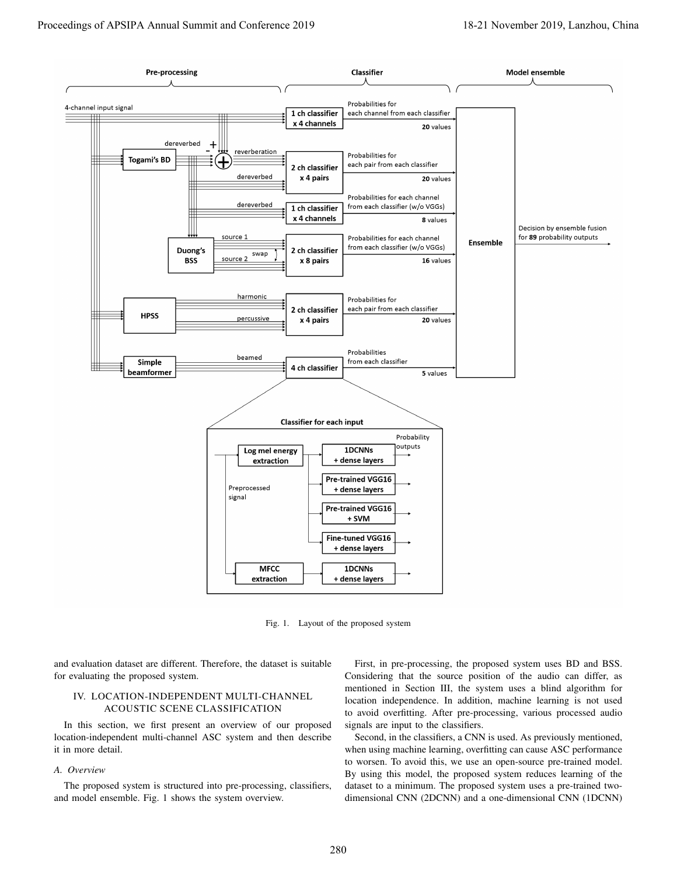

Fig. 1. Layout of the proposed system

and evaluation dataset are different. Therefore, the dataset is suitable for evaluating the proposed system.

## IV. LOCATION-INDEPENDENT MULTI-CHANNEL ACOUSTIC SCENE CLASSIFICATION

In this section, we first present an overview of our proposed location-independent multi-channel ASC system and then describe it in more detail.

## *A. Overview*

The proposed system is structured into pre-processing, classifiers, and model ensemble. Fig. 1 shows the system overview.

First, in pre-processing, the proposed system uses BD and BSS. Considering that the source position of the audio can differ, as mentioned in Section III, the system uses a blind algorithm for location independence. In addition, machine learning is not used to avoid overfitting. After pre-processing, various processed audio signals are input to the classifiers.

Second, in the classifiers, a CNN is used. As previously mentioned, when using machine learning, overfitting can cause ASC performance to worsen. To avoid this, we use an open-source pre-trained model. By using this model, the proposed system reduces learning of the dataset to a minimum. The proposed system uses a pre-trained twodimensional CNN (2DCNN) and a one-dimensional CNN (1DCNN)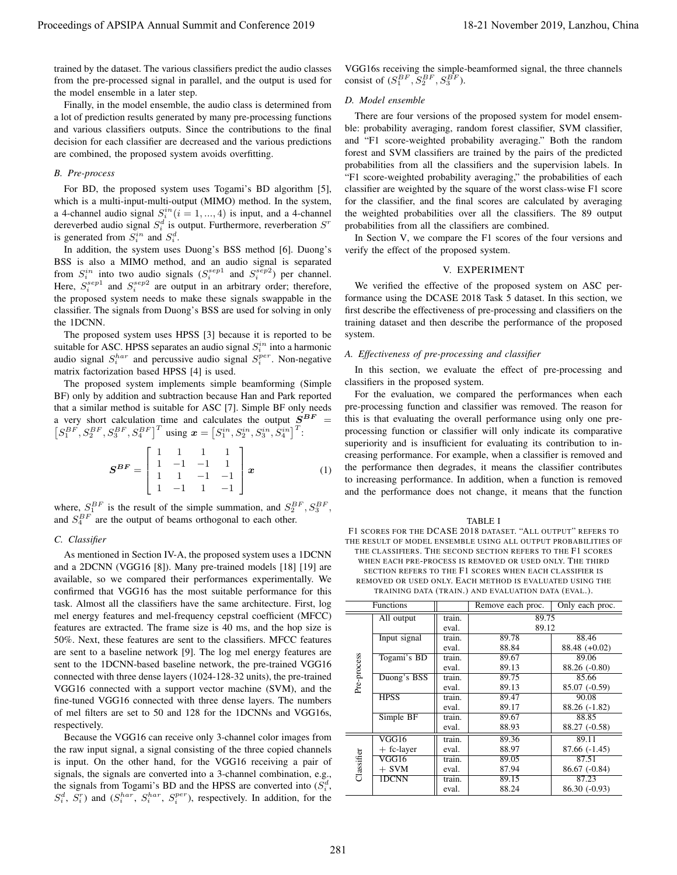#### *B. Pre-process*

$$
\mathbf{S}^{BF} = \begin{bmatrix} 1 & 1 & 1 & 1 \\ 1 & -1 & -1 & 1 \\ 1 & 1 & -1 & -1 \\ 1 & -1 & 1 & -1 \end{bmatrix} \mathbf{x}
$$
 (1)

### *C. Classifier*

#### *D. Model ensemble*

### V. EXPERIMENT

#### *A. Effectiveness of pre-processing and classifier*

TABLE I F1 SCORES FOR THE DCASE 2018 DATASET. "ALL OUTPUT" REFERS TO THE RESULT OF MODEL ENSEMBLE USING ALL OUTPUT PROBABILITIES OF THE CLASSIFIERS. THE SECOND SECTION REFERS TO THE F1 SCORES WHEN EACH PRE-PROCESS IS REMOVED OR USED ONLY. THE THIRD SECTION REFERS TO THE F1 SCORES WHEN EACH CLASSIFIER IS REMOVED OR USED ONLY. EACH METHOD IS EVALUATED USING THE TRAINING DATA (TRAIN.) AND EVALUATION DATA (EVAL.).

| Proceedings of APSIPA Annual Summit and Conference 2019                                                                                                                                                                                                                                                                                                  |                                                                                                                                                                                                                                                                                                                                                                                                                                                                                                                                                                                                                                                 |                     |                 |                                                                                                                                | 18-21 November 2019, Lanzhou, China |  |  |
|----------------------------------------------------------------------------------------------------------------------------------------------------------------------------------------------------------------------------------------------------------------------------------------------------------------------------------------------------------|-------------------------------------------------------------------------------------------------------------------------------------------------------------------------------------------------------------------------------------------------------------------------------------------------------------------------------------------------------------------------------------------------------------------------------------------------------------------------------------------------------------------------------------------------------------------------------------------------------------------------------------------------|---------------------|-----------------|--------------------------------------------------------------------------------------------------------------------------------|-------------------------------------|--|--|
| trained by the dataset. The various classifiers predict the audio classes<br>from the pre-processed signal in parallel, and the output is used for                                                                                                                                                                                                       | VGG16s receiving the simple-beamformed signal, the three channels<br>consist of $(S_1^{BF}, S_2^{BF}, S_3^{BF})$ .                                                                                                                                                                                                                                                                                                                                                                                                                                                                                                                              |                     |                 |                                                                                                                                |                                     |  |  |
| the model ensemble in a later step.                                                                                                                                                                                                                                                                                                                      |                                                                                                                                                                                                                                                                                                                                                                                                                                                                                                                                                                                                                                                 | D. Model ensemble   |                 |                                                                                                                                |                                     |  |  |
| Finally, in the model ensemble, the audio class is determined from<br>a lot of prediction results generated by many pre-processing functions<br>and various classifiers outputs. Since the contributions to the final<br>decision for each classifier are decreased and the various predictions<br>are combined, the proposed system avoids overfitting. | There are four versions of the proposed system for model ensem-<br>ble: probability averaging, random forest classifier, SVM classifier,<br>and "F1 score-weighted probability averaging." Both the random<br>forest and SVM classifiers are trained by the pairs of the predicted<br>probabilities from all the classifiers and the supervision labels. In                                                                                                                                                                                                                                                                                     |                     |                 |                                                                                                                                |                                     |  |  |
| <b>B.</b> Pre-process                                                                                                                                                                                                                                                                                                                                    |                                                                                                                                                                                                                                                                                                                                                                                                                                                                                                                                                                                                                                                 |                     |                 |                                                                                                                                |                                     |  |  |
| For BD, the proposed system uses Togami's BD algorithm [5],<br>which is a multi-input-multi-output (MIMO) method. In the system,<br>a 4-channel audio signal $S_i^{in}$ ( $i = 1, , 4$ ) is input, and a 4-channel                                                                                                                                       | "F1 score-weighted probability averaging," the probabilities of each<br>classifier are weighted by the square of the worst class-wise F1 score<br>for the classifier, and the final scores are calculated by averaging<br>the weighted probabilities over all the classifiers. The 89 output                                                                                                                                                                                                                                                                                                                                                    |                     |                 |                                                                                                                                |                                     |  |  |
| dereverbed audio signal $S_i^d$ is output. Furthermore, reverberation $S^r$                                                                                                                                                                                                                                                                              | probabilities from all the classifiers are combined.                                                                                                                                                                                                                                                                                                                                                                                                                                                                                                                                                                                            |                     |                 |                                                                                                                                |                                     |  |  |
| is generated from $S_i^{in}$ and $S_i^d$ .<br>In addition, the system uses Duong's BSS method [6]. Duong's<br>BSS is also a MIMO method, and an audio signal is separated                                                                                                                                                                                | In Section V, we compare the F1 scores of the four versions and<br>verify the effect of the proposed system.                                                                                                                                                                                                                                                                                                                                                                                                                                                                                                                                    |                     |                 |                                                                                                                                |                                     |  |  |
|                                                                                                                                                                                                                                                                                                                                                          | V. EXPERIMENT                                                                                                                                                                                                                                                                                                                                                                                                                                                                                                                                                                                                                                   |                     |                 |                                                                                                                                |                                     |  |  |
| from $S_i^{in}$ into two audio signals $(S_i^{sep1}$ and $S_i^{sep2})$ per channel.<br>Here, $S_i^{sep1}$ and $S_i^{sep2}$ are output in an arbitrary order; therefore,<br>the proposed system needs to make these signals swappable in the<br>classifier. The signals from Duong's BSS are used for solving in only<br>the 1DCNN.                       | We verified the effective of the proposed system on ASC per-<br>formance using the DCASE 2018 Task 5 dataset. In this section, we<br>first describe the effectiveness of pre-processing and classifiers on the<br>training dataset and then describe the performance of the proposed                                                                                                                                                                                                                                                                                                                                                            |                     |                 |                                                                                                                                |                                     |  |  |
| The proposed system uses HPSS [3] because it is reported to be                                                                                                                                                                                                                                                                                           | system.                                                                                                                                                                                                                                                                                                                                                                                                                                                                                                                                                                                                                                         |                     |                 |                                                                                                                                |                                     |  |  |
| suitable for ASC. HPSS separates an audio signal $S_i^{in}$ into a harmonic<br>audio signal $S_i^{har}$ and percussive audio signal $S_i^{per}$ . Non-negative                                                                                                                                                                                           | A. Effectiveness of pre-processing and classifier                                                                                                                                                                                                                                                                                                                                                                                                                                                                                                                                                                                               |                     |                 |                                                                                                                                |                                     |  |  |
| matrix factorization based HPSS [4] is used.                                                                                                                                                                                                                                                                                                             | In this section, we evaluate the effect of pre-processing and                                                                                                                                                                                                                                                                                                                                                                                                                                                                                                                                                                                   |                     |                 |                                                                                                                                |                                     |  |  |
| The proposed system implements simple beamforming (Simple                                                                                                                                                                                                                                                                                                | classifiers in the proposed system.                                                                                                                                                                                                                                                                                                                                                                                                                                                                                                                                                                                                             |                     |                 |                                                                                                                                |                                     |  |  |
| BF) only by addition and subtraction because Han and Park reported<br>that a similar method is suitable for ASC [7]. Simple BF only needs                                                                                                                                                                                                                | For the evaluation, we compared the performances when each<br>pre-processing function and classifier was removed. The reason for<br>this is that evaluating the overall performance using only one pre-<br>processing function or classifier will only indicate its comparative<br>superiority and is insufficient for evaluating its contribution to in-<br>creasing performance. For example, when a classifier is removed and<br>the performance then degrades, it means the classifier contributes<br>to increasing performance. In addition, when a function is removed<br>and the performance does not change, it means that the function |                     |                 |                                                                                                                                |                                     |  |  |
| a very short calculation time and calculates the output $\dot{S}^{BF} = [S_1^{BF}, S_2^{BF}, S_3^{BF}, S_4^{BF}]^T$ using $\mathbf{x} = [S_1^{in}, S_2^{in}, S_3^{in}, S_4^{in}]^T$ :                                                                                                                                                                    |                                                                                                                                                                                                                                                                                                                                                                                                                                                                                                                                                                                                                                                 |                     |                 |                                                                                                                                |                                     |  |  |
| $\pmb{S}^{\pmb{B}\pmb{F}}= \left[\begin{array}{cccc} 1 & 1 & 1 & 1\\ 1 & -1 & -1 & 1\\ 1 & 1 & -1 & -1\\ 1 & -1 & 1 & -1 \end{array}\right]\pmb{x}$<br>(1)                                                                                                                                                                                               |                                                                                                                                                                                                                                                                                                                                                                                                                                                                                                                                                                                                                                                 |                     |                 |                                                                                                                                |                                     |  |  |
| where, $S_1^{BF}$ is the result of the simple summation, and $S_2^{BF}$ , $S_3^{BF}$ ,<br>and $S_4^{BF}$ are the output of beams orthogonal to each other.                                                                                                                                                                                               |                                                                                                                                                                                                                                                                                                                                                                                                                                                                                                                                                                                                                                                 |                     |                 | <b>TABLE I</b>                                                                                                                 |                                     |  |  |
| C. Classifier                                                                                                                                                                                                                                                                                                                                            |                                                                                                                                                                                                                                                                                                                                                                                                                                                                                                                                                                                                                                                 |                     |                 | F1 SCORES FOR THE DCASE 2018 DATASET. "ALL OUTPUT" REFERS TO<br>THE RESULT OF MODEL ENSEMBLE USING ALL OUTPUT PROBABILITIES OF |                                     |  |  |
| As mentioned in Section IV-A, the proposed system uses a 1DCNN                                                                                                                                                                                                                                                                                           | THE CLASSIFIERS. THE SECOND SECTION REFERS TO THE F1 SCORES                                                                                                                                                                                                                                                                                                                                                                                                                                                                                                                                                                                     |                     |                 |                                                                                                                                |                                     |  |  |
| and a 2DCNN (VGG16 [8]). Many pre-trained models [18] [19] are                                                                                                                                                                                                                                                                                           | WHEN EACH PRE-PROCESS IS REMOVED OR USED ONLY. THE THIRD<br>SECTION REFERS TO THE F1 SCORES WHEN EACH CLASSIFIER IS                                                                                                                                                                                                                                                                                                                                                                                                                                                                                                                             |                     |                 |                                                                                                                                |                                     |  |  |
| available, so we compared their performances experimentally. We                                                                                                                                                                                                                                                                                          |                                                                                                                                                                                                                                                                                                                                                                                                                                                                                                                                                                                                                                                 |                     |                 | REMOVED OR USED ONLY. EACH METHOD IS EVALUATED USING THE                                                                       |                                     |  |  |
| confirmed that VGG16 has the most suitable performance for this                                                                                                                                                                                                                                                                                          |                                                                                                                                                                                                                                                                                                                                                                                                                                                                                                                                                                                                                                                 |                     |                 | TRAINING DATA (TRAIN.) AND EVALUATION DATA (EVAL.).                                                                            |                                     |  |  |
| task. Almost all the classifiers have the same architecture. First, log<br>mel energy features and mel-frequency cepstral coefficient (MFCC)                                                                                                                                                                                                             |                                                                                                                                                                                                                                                                                                                                                                                                                                                                                                                                                                                                                                                 | Functions           |                 | Remove each proc.<br>89.75                                                                                                     | Only each proc.                     |  |  |
| features are extracted. The frame size is 40 ms, and the hop size is                                                                                                                                                                                                                                                                                     |                                                                                                                                                                                                                                                                                                                                                                                                                                                                                                                                                                                                                                                 | All output          | train.<br>eval. | 89.12                                                                                                                          |                                     |  |  |
| 50%. Next, these features are sent to the classifiers. MFCC features                                                                                                                                                                                                                                                                                     |                                                                                                                                                                                                                                                                                                                                                                                                                                                                                                                                                                                                                                                 | Input signal        | train.          | 89.78                                                                                                                          | 88.46                               |  |  |
| are sent to a baseline network [9]. The log mel energy features are                                                                                                                                                                                                                                                                                      |                                                                                                                                                                                                                                                                                                                                                                                                                                                                                                                                                                                                                                                 | Togami's BD         | eval.<br>train. | 88.84<br>89.67                                                                                                                 | 88.48 (+0.02)<br>89.06              |  |  |
| sent to the 1DCNN-based baseline network, the pre-trained VGG16                                                                                                                                                                                                                                                                                          | Pre-process                                                                                                                                                                                                                                                                                                                                                                                                                                                                                                                                                                                                                                     |                     | eval.           | 89.13                                                                                                                          | 88.26 (-0.80)                       |  |  |
| connected with three dense layers (1024-128-32 units), the pre-trained<br>VGG16 connected with a support vector machine (SVM), and the                                                                                                                                                                                                                   |                                                                                                                                                                                                                                                                                                                                                                                                                                                                                                                                                                                                                                                 | Duong's BSS         | train.<br>eval. | 89.75<br>89.13                                                                                                                 | 85.66<br>85.07 (-0.59)              |  |  |
| fine-tuned VGG16 connected with three dense layers. The numbers                                                                                                                                                                                                                                                                                          |                                                                                                                                                                                                                                                                                                                                                                                                                                                                                                                                                                                                                                                 | <b>HPSS</b>         | train.          | 89.47                                                                                                                          | 90.08                               |  |  |
| of mel filters are set to 50 and 128 for the 1DCNNs and VGG16s,                                                                                                                                                                                                                                                                                          |                                                                                                                                                                                                                                                                                                                                                                                                                                                                                                                                                                                                                                                 | Simple BF           | eval.<br>train. | 89.17<br>89.67                                                                                                                 | 88.26 (-1.82)<br>88.85              |  |  |
| respectively.                                                                                                                                                                                                                                                                                                                                            |                                                                                                                                                                                                                                                                                                                                                                                                                                                                                                                                                                                                                                                 |                     | eval.           | 88.93                                                                                                                          | 88.27 (-0.58)                       |  |  |
| Because the VGG16 can receive only 3-channel color images from                                                                                                                                                                                                                                                                                           |                                                                                                                                                                                                                                                                                                                                                                                                                                                                                                                                                                                                                                                 | VGG16               | train.          | 89.36                                                                                                                          | 89.11                               |  |  |
|                                                                                                                                                                                                                                                                                                                                                          | Classifier                                                                                                                                                                                                                                                                                                                                                                                                                                                                                                                                                                                                                                      | + fc-layer<br>VGG16 | eval.<br>train. | 88.97<br>89.05                                                                                                                 | $87.66(-1.45)$<br>87.51             |  |  |
| the raw input signal, a signal consisting of the three copied channels                                                                                                                                                                                                                                                                                   |                                                                                                                                                                                                                                                                                                                                                                                                                                                                                                                                                                                                                                                 |                     | eval.           | 87.94                                                                                                                          | $86.67(-0.84)$                      |  |  |
| is input. On the other hand, for the VGG16 receiving a pair of<br>signals, the signals are converted into a 3-channel combination, e.g.,                                                                                                                                                                                                                 |                                                                                                                                                                                                                                                                                                                                                                                                                                                                                                                                                                                                                                                 | $+$ SVM<br>1DCNN    | train.          | 89.15                                                                                                                          | 87.23                               |  |  |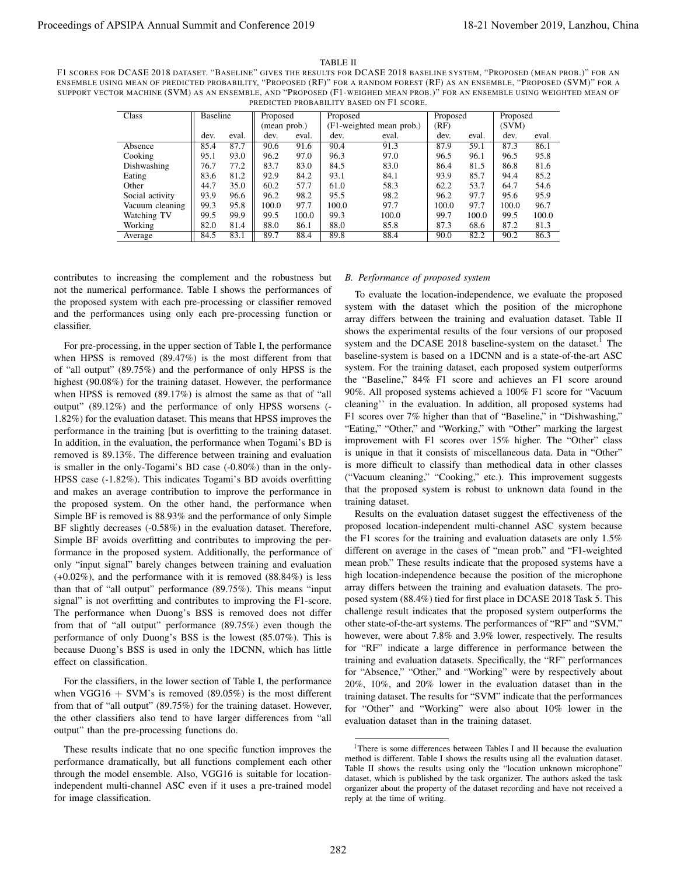#### TABLE II

F1 SCORES FOR DCASE 2018 DATASET. "BASELINE" GIVES THE RESULTS FOR DCASE 2018 BASELINE SYSTEM, "PROPOSED (MEAN PROB.)" FOR AN ENSEMBLE USING MEAN OF PREDICTED PROBABILITY, "PROPOSED (RF)" FOR A RANDOM FOREST (RF) AS AN ENSEMBLE, "PROPOSED (SVM)" FOR A SUPPORT VECTOR MACHINE (SVM) AS AN ENSEMBLE, AND "PROPOSED (F1-WEIGHED MEAN PROB.)" FOR AN ENSEMBLE USING WEIGHTED MEAN OF PREDICTED PROBABILITY BASED ON F1 SCORE.

| Class           | Baseline |       | Proposed     |       | Proposed                 |       | Proposed |       | Proposed |       |
|-----------------|----------|-------|--------------|-------|--------------------------|-------|----------|-------|----------|-------|
|                 |          |       | (mean prob.) |       | (F1-weighted mean prob.) |       | (RF)     |       | (SVM)    |       |
|                 | dev.     | eval. | dev.         | eval. | dev.                     | eval. | dev.     | eval. | dev.     | eval. |
| Absence         | 85.4     | 87.7  | 90.6         | 91.6  | 90.4                     | 91.3  | 87.9     | 59.1  | 87.3     | 86.1  |
| Cooking         | 95.1     | 93.0  | 96.2         | 97.0  | 96.3                     | 97.0  | 96.5     | 96.1  | 96.5     | 95.8  |
| Dishwashing     | 76.7     | 77.2  | 83.7         | 83.0  | 84.5                     | 83.0  | 86.4     | 81.5  | 86.8     | 81.6  |
| Eating          | 83.6     | 81.2  | 92.9         | 84.2  | 93.1                     | 84.1  | 93.9     | 85.7  | 94.4     | 85.2  |
| Other           | 44.7     | 35.0  | 60.2         | 57.7  | 61.0                     | 58.3  | 62.2     | 53.7  | 64.7     | 54.6  |
| Social activity | 93.9     | 96.6  | 96.2         | 98.2  | 95.5                     | 98.2  | 96.2     | 97.7  | 95.6     | 95.9  |
| Vacuum cleaning | 99.3     | 95.8  | 100.0        | 97.7  | 100.0                    | 97.7  | 100.0    | 97.7  | 100.0    | 96.7  |
| Watching TV     | 99.5     | 99.9  | 99.5         | 100.0 | 99.3                     | 100.0 | 99.7     | 100.0 | 99.5     | 100.0 |
| Working         | 82.0     | 81.4  | 88.0         | 86.1  | 88.0                     | 85.8  | 87.3     | 68.6  | 87.2     | 81.3  |
| Average         | 84.5     | 83.1  | 89.7         | 88.4  | 89.8                     | 88.4  | 90.0     | 82.2  | 90.2     | 86.3  |

contributes to increasing the complement and the robustness but not the numerical performance. Table I shows the performances of the proposed system with each pre-processing or classifier removed and the performances using only each pre-processing function or classifier.

For pre-processing, in the upper section of Table I, the performance when HPSS is removed (89.47%) is the most different from that of "all output" (89.75%) and the performance of only HPSS is the highest (90.08%) for the training dataset. However, the performance when HPSS is removed (89.17%) is almost the same as that of "all output" (89.12%) and the performance of only HPSS worsens (- 1.82%) for the evaluation dataset. This means that HPSS improves the performance in the training [but is overfitting to the training dataset. In addition, in the evaluation, the performance when Togami's BD is removed is 89.13%. The difference between training and evaluation is smaller in the only-Togami's BD case (-0.80%) than in the only-HPSS case (-1.82%). This indicates Togami's BD avoids overfitting and makes an average contribution to improve the performance in the proposed system. On the other hand, the performance when Simple BF is removed is 88.93% and the performance of only Simple BF slightly decreases (-0.58%) in the evaluation dataset. Therefore, Simple BF avoids overfitting and contributes to improving the performance in the proposed system. Additionally, the performance of only "input signal" barely changes between training and evaluation (+0.02%), and the performance with it is removed (88.84%) is less than that of "all output" performance (89.75%). This means "input signal" is not overfitting and contributes to improving the F1-score. The performance when Duong's BSS is removed does not differ from that of "all output" performance (89.75%) even though the performance of only Duong's BSS is the lowest (85.07%). This is because Duong's BSS is used in only the 1DCNN, which has little effect on classification. Proceeding to 2019 Maximum and the summer of 2018 and 2018 Maximum and 2019 and 2019 and 2019 and 2019 and 2019 and 2019 and 2019 and 2019 and 2019 and 2019 and 2019 and 2019 and 2019 and 2019 and 2019 and 2019 and 2019 a

For the classifiers, in the lower section of Table I, the performance when VGG16 + SVM's is removed  $(89.05\%)$  is the most different from that of "all output" (89.75%) for the training dataset. However, the other classifiers also tend to have larger differences from "all output" than the pre-processing functions do.

These results indicate that no one specific function improves the performance dramatically, but all functions complement each other through the model ensemble. Also, VGG16 is suitable for locationindependent multi-channel ASC even if it uses a pre-trained model for image classification.

## *B. Performance of proposed system*

To evaluate the location-independence, we evaluate the proposed system with the dataset which the position of the microphone array differs between the training and evaluation dataset. Table II shows the experimental results of the four versions of our proposed system and the DCASE 2018 baseline-system on the dataset.<sup>1</sup> The baseline-system is based on a 1DCNN and is a state-of-the-art ASC system. For the training dataset, each proposed system outperforms the "Baseline," 84% F1 score and achieves an F1 score around 90%. All proposed systems achieved a 100% F1 score for "Vacuum cleaning'' in the evaluation. In addition, all proposed systems had F1 scores over 7% higher than that of "Baseline," in "Dishwashing," "Eating," "Other," and "Working," with "Other" marking the largest improvement with F1 scores over 15% higher. The "Other" class is unique in that it consists of miscellaneous data. Data in "Other" is more difficult to classify than methodical data in other classes ("Vacuum cleaning," "Cooking," etc.). This improvement suggests that the proposed system is robust to unknown data found in the training dataset.

Results on the evaluation dataset suggest the effectiveness of the proposed location-independent multi-channel ASC system because the F1 scores for the training and evaluation datasets are only 1.5% different on average in the cases of "mean prob." and "F1-weighted mean prob." These results indicate that the proposed systems have a high location-independence because the position of the microphone array differs between the training and evaluation datasets. The proposed system (88.4%) tied for first place in DCASE 2018 Task 5. This challenge result indicates that the proposed system outperforms the other state-of-the-art systems. The performances of "RF" and "SVM," however, were about 7.8% and 3.9% lower, respectively. The results for "RF" indicate a large difference in performance between the training and evaluation datasets. Specifically, the "RF" performances for "Absence," "Other," and "Working" were by respectively about 20%, 10%, and 20% lower in the evaluation dataset than in the training dataset. The results for "SVM" indicate that the performances for "Other" and "Working" were also about 10% lower in the evaluation dataset than in the training dataset.

<sup>&</sup>lt;sup>1</sup>There is some differences between Tables I and II because the evaluation method is different. Table I shows the results using all the evaluation dataset. Table II shows the results using only the "location unknown microphone" dataset, which is published by the task organizer. The authors asked the task organizer about the property of the dataset recording and have not received a reply at the time of writing.